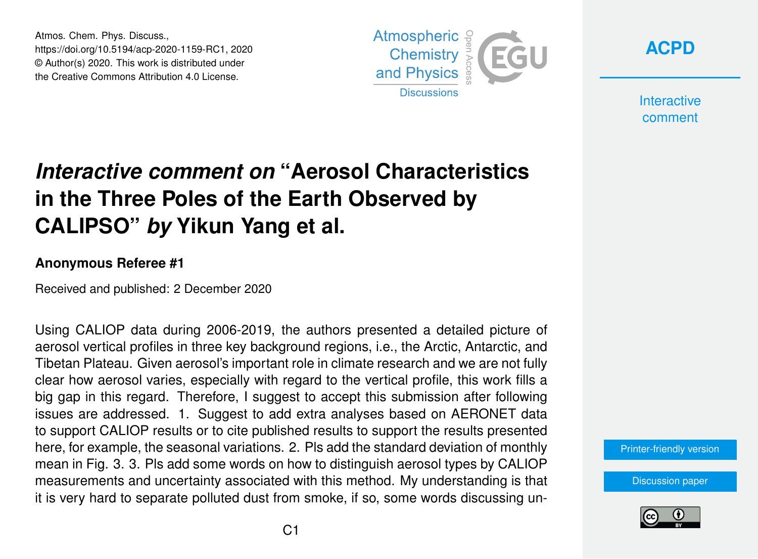Atmos. Chem. Phys. Discuss., https://doi.org/10.5194/acp-2020-1159-RC1, 2020 © Author(s) 2020. This work is distributed under the Creative Commons Attribution 4.0 License.



**[ACPD](https://acp.copernicus.org/preprints/)**

**Interactive** comment

## *Interactive comment on* **"Aerosol Characteristics in the Three Poles of the Earth Observed by CALIPSO"** *by* **Yikun Yang et al.**

## **Anonymous Referee #1**

Received and published: 2 December 2020

Using CALIOP data during 2006-2019, the authors presented a detailed picture of aerosol vertical profiles in three key background regions, i.e., the Arctic, Antarctic, and Tibetan Plateau. Given aerosol's important role in climate research and we are not fully clear how aerosol varies, especially with regard to the vertical profile, this work fills a big gap in this regard. Therefore, I suggest to accept this submission after following issues are addressed. 1. Suggest to add extra analyses based on AERONET data to support CALIOP results or to cite published results to support the results presented here, for example, the seasonal variations. 2. Pls add the standard deviation of monthly mean in Fig. 3. 3. Pls add some words on how to distinguish aerosol types by CALIOP measurements and uncertainty associated with this method. My understanding is that it is very hard to separate polluted dust from smoke, if so, some words discussing un-

[Printer-friendly version](https://acp.copernicus.org/preprints/acp-2020-1159/acp-2020-1159-RC1-print.pdf)

[Discussion paper](https://acp.copernicus.org/preprints/acp-2020-1159)